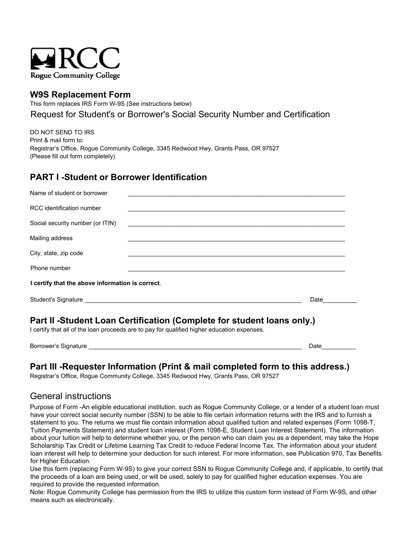

## **W9S Replacement Form**

This form replaces IRS Form W-9S (See instructions below)

Request for Student's or Borrower's Social Security Number and Certification

DO NOT SEND TO IRS Print & mail form to: Registrar's Office, Rogue Community College, 3345 Redwood Hwy, Grants Pass, OR 97527 (Please fill out form completely)

## **PART I -Student or Borrower Identification**

| Name of student or borrower                                                                                                                                           |                                                                                                                        |      |
|-----------------------------------------------------------------------------------------------------------------------------------------------------------------------|------------------------------------------------------------------------------------------------------------------------|------|
| RCC identification number                                                                                                                                             |                                                                                                                        |      |
| Social security number (or ITIN)                                                                                                                                      | <u> 1989 - Johann Stoff, deutscher Stoffen und der Stoffen und der Stoffen und der Stoffen und der Stoffen und der</u> |      |
| Mailing address                                                                                                                                                       |                                                                                                                        |      |
| City, state, zip code                                                                                                                                                 |                                                                                                                        |      |
| Phone number                                                                                                                                                          |                                                                                                                        |      |
| I certify that the above information is correct.                                                                                                                      |                                                                                                                        |      |
|                                                                                                                                                                       |                                                                                                                        | Date |
| Part II -Student Loan Certification (Complete for student loans only.)<br>I certify that all of the loan proceeds are to pay for qualified higher education expenses. |                                                                                                                        |      |

Borrower's Signature **Example 20** and the set of the set of the set of the set of the set of the set of the set of the set of the set of the set of the set of the set of the set of the set of the set of the set of the set

### **Part III -Requester Information (Print & mail completed form to this address.)**

Registrar's Office, Rogue Community College, 3345 Redwood Hwy, Grants Pass, OR 97527

# General instructions

Purpose of Form -An eligible educational institution, such as Rogue Community College, or a lender of a student loan must have your correct social security number (SSN) to be able to file certain information returns with the IRS and to furnish a statement to you. The returns we must file contain information about qualified tuition and related expenses (Form 1098-T, Tuition Payments Statement) and student loan interest (Form 1098-E, Student Loan Interest Statement). The information about your tuition will help to determine whether you, or the person who can claim you as a dependent, may take the Hope Scholarship Tax Credit or Lifetime Learning Tax Credit to reduce Federal Income Tax. The information about your student loan interest will help to determine your deduction for such interest. For more information, see Publication 970, Tax Benefits for Higher Education.

Use this form (replacing Form W-9S) to give your correct SSN to Rogue Community College and, if applicable, to certify that the proceeds of a loan are being used, or will be used, solely to pay for qualified higher education expenses. You are required to provide the requested information.

Note: Rogue Community College has permission from the IRS to utilize this custom form instead of Form W-9S, and other means such as electronically.